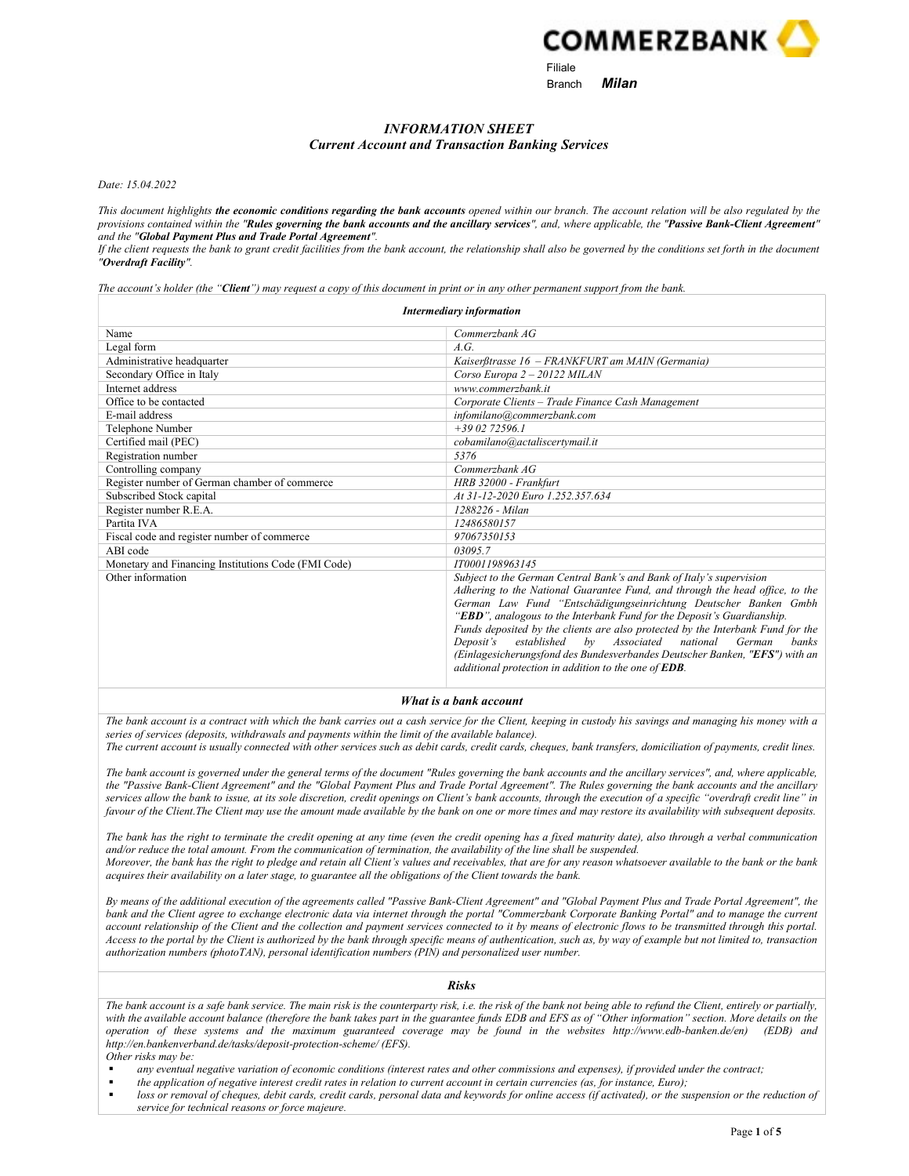

# INFORMATION SHEET Current Account and Transaction Banking Services

Date: 15.04.2022

This document highlights the economic conditions regarding the bank accounts opened within our branch. The account relation will be also regulated by the provisions contained within the "Rules governing the bank accounts and the ancillary services", and, where applicable, the "Passive Bank-Client Agreement" and the "Global Payment Plus and Trade Portal Agreement".

If the client requests the bank to grant credit facilities from the bank account, the relationship shall also be governed by the conditions set forth in the document "Overdraft Facility".

The account's holder (the "Client") may request a copy of this document in print or in any other permanent support from the bank.

| <b>Intermediary information</b>                     |                                                                                                                                                                                                                                                                                                                                                                                                                                                                                                                                                                                                                         |  |  |  |
|-----------------------------------------------------|-------------------------------------------------------------------------------------------------------------------------------------------------------------------------------------------------------------------------------------------------------------------------------------------------------------------------------------------------------------------------------------------------------------------------------------------------------------------------------------------------------------------------------------------------------------------------------------------------------------------------|--|--|--|
| Name                                                | Commerzbank AG                                                                                                                                                                                                                                                                                                                                                                                                                                                                                                                                                                                                          |  |  |  |
| Legal form                                          | A.G.                                                                                                                                                                                                                                                                                                                                                                                                                                                                                                                                                                                                                    |  |  |  |
| Administrative headquarter                          | Kaiserßtrasse 16 - FRANKFURT am MAIN (Germania)                                                                                                                                                                                                                                                                                                                                                                                                                                                                                                                                                                         |  |  |  |
| Secondary Office in Italy                           | Corso Europa 2 - 20122 MILAN                                                                                                                                                                                                                                                                                                                                                                                                                                                                                                                                                                                            |  |  |  |
| Internet address                                    | www.commerzbank.it                                                                                                                                                                                                                                                                                                                                                                                                                                                                                                                                                                                                      |  |  |  |
| Office to be contacted                              | Corporate Clients - Trade Finance Cash Management                                                                                                                                                                                                                                                                                                                                                                                                                                                                                                                                                                       |  |  |  |
| E-mail address                                      | infomilano@commerzbank.com                                                                                                                                                                                                                                                                                                                                                                                                                                                                                                                                                                                              |  |  |  |
| Telephone Number                                    | $+39.02.72596.1$                                                                                                                                                                                                                                                                                                                                                                                                                                                                                                                                                                                                        |  |  |  |
| Certified mail (PEC)                                | cobamilano@actaliscertymail.it                                                                                                                                                                                                                                                                                                                                                                                                                                                                                                                                                                                          |  |  |  |
| Registration number                                 | 5376                                                                                                                                                                                                                                                                                                                                                                                                                                                                                                                                                                                                                    |  |  |  |
| Controlling company                                 | Commerzbank AG                                                                                                                                                                                                                                                                                                                                                                                                                                                                                                                                                                                                          |  |  |  |
| Register number of German chamber of commerce       | HRB 32000 - Frankfurt                                                                                                                                                                                                                                                                                                                                                                                                                                                                                                                                                                                                   |  |  |  |
| Subscribed Stock capital                            | At 31-12-2020 Euro 1.252.357.634                                                                                                                                                                                                                                                                                                                                                                                                                                                                                                                                                                                        |  |  |  |
| Register number R.E.A.                              | 1288226 - Milan                                                                                                                                                                                                                                                                                                                                                                                                                                                                                                                                                                                                         |  |  |  |
| Partita IVA                                         | 12486580157                                                                                                                                                                                                                                                                                                                                                                                                                                                                                                                                                                                                             |  |  |  |
| Fiscal code and register number of commerce         | 97067350153                                                                                                                                                                                                                                                                                                                                                                                                                                                                                                                                                                                                             |  |  |  |
| ABI code                                            | 03095.7                                                                                                                                                                                                                                                                                                                                                                                                                                                                                                                                                                                                                 |  |  |  |
| Monetary and Financing Institutions Code (FMI Code) | IT0001198963145                                                                                                                                                                                                                                                                                                                                                                                                                                                                                                                                                                                                         |  |  |  |
| Other information                                   | Subject to the German Central Bank's and Bank of Italy's supervision<br>Adhering to the National Guarantee Fund, and through the head office, to the<br>German Law Fund "Entschädigungseinrichtung Deutscher Banken Gmbh<br>"EBD", analogous to the Interbank Fund for the Deposit's Guardianship.<br>Funds deposited by the clients are also protected by the Interbank Fund for the<br>Associated<br>national<br>established<br>$b\nu$<br>German<br>Deposit's<br>banks<br>(Einlagesicherungsfond des Bundesverbandes Deutscher Banken, "EFS") with an<br>additional protection in addition to the one of <b>EDB</b> . |  |  |  |

What is a bank account

The bank account is a contract with which the bank carries out a cash service for the Client, keeping in custody his savings and managing his money with a series of services (deposits, withdrawals and payments within the limit of the available balance).

The current account is usually connected with other services such as debit cards, credit cards, cheques, bank transfers, domiciliation of payments, credit lines.

The bank account is governed under the general terms of the document "Rules governing the bank accounts and the ancillary services", and, where applicable, the "Passive Bank-Client Agreement" and the "Global Payment Plus and Trade Portal Agreement". The Rules governing the bank accounts and the ancillary services allow the bank to issue, at its sole discretion, credit openings on Client's bank accounts, through the execution of a specific "overdraft credit line" in favour of the Client. The Client may use the amount made available by the bank on one or more times and may restore its availability with subsequent deposits.

The bank has the right to terminate the credit opening at any time (even the credit opening has a fixed maturity date), also through a verbal communication and/or reduce the total amount. From the communication of termination, the availability of the line shall be suspended. Moreover, the bank has the right to pledge and retain all Client's values and receivables, that are for any reason whatsoever available to the bank or the bank acquires their availability on a later stage, to guarantee all the obligations of the Client towards the bank.

By means of the additional execution of the agreements called "Passive Bank-Client Agreement" and "Global Payment Plus and Trade Portal Agreement", the bank and the Client agree to exchange electronic data via internet through the portal "Commerzbank Corporate Banking Portal" and to manage the current account relationship of the Client and the collection and payment services connected to it by means of electronic flows to be transmitted through this portal. Access to the portal by the Client is authorized by the bank through specific means of authentication, such as, by way of example but not limited to, transaction authorization numbers (photoTAN), personal identification numbers (PIN) and personalized user number.

The bank account is a safe bank service. The main risk is the counterparty risk, i.e. the risk of the bank not being able to refund the Client, entirely or partially, with the available account balance (therefore the bank takes part in the guarantee funds EDB and EFS as of "Other information" section. More details on the operation of these systems and the maximum guaranteed coverage may be found in the websites http://www.edb-banken.de/en) (EDB) and http://en.bankenverband.de/tasks/deposit-protection-scheme/ (EFS). Other risks may be:

Risks

- any eventual negative variation of economic conditions (interest rates and other commissions and expenses), if provided under the contract;
- the application of negative interest credit rates in relation to current account in certain currencies (as, for instance, Euro);
- loss or removal of cheques, debit cards, credit cards, personal data and keywords for online access (if activated), or the suspension or the reduction of service for technical reasons or force majeure.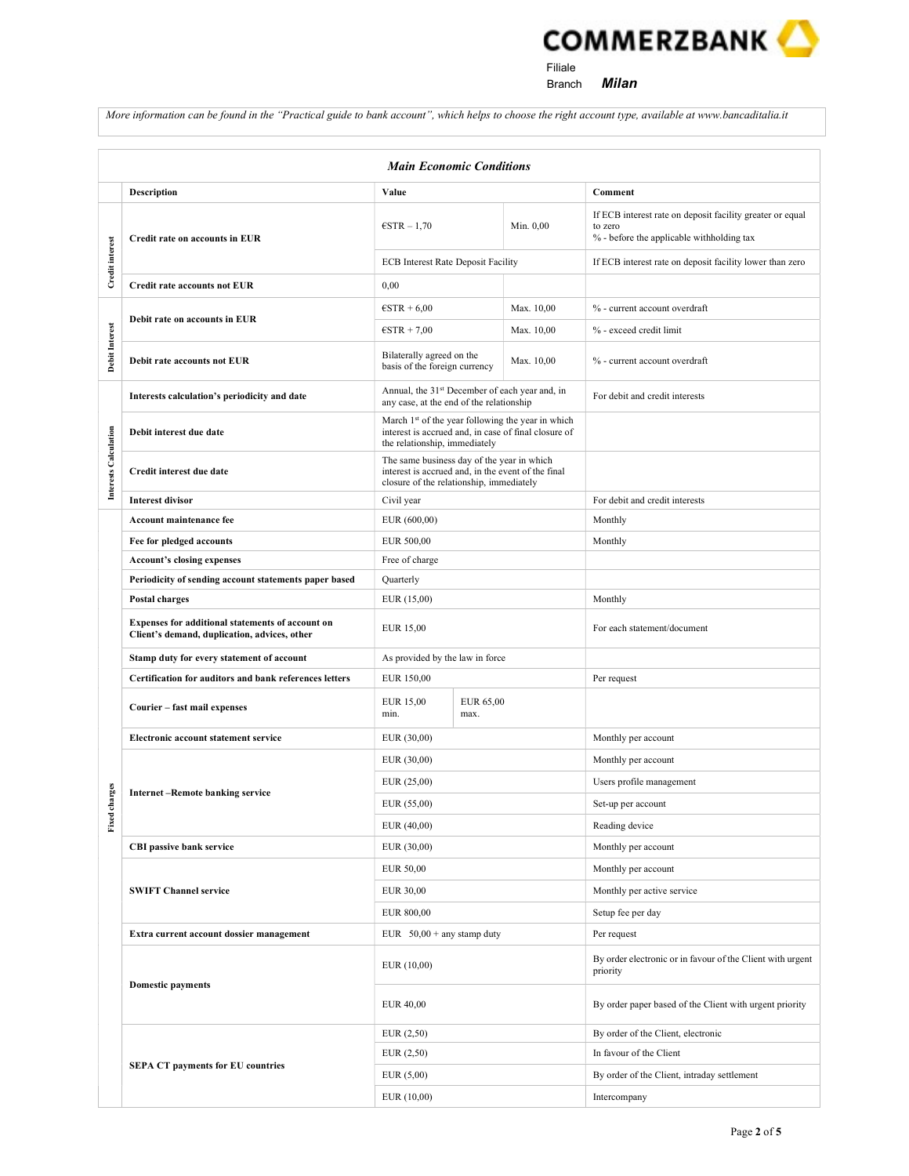**COMMERZBANK** Filiale

Branch **Milan** 

More information can be found in the "Practical guide to bank account", which helps to choose the right account type, available at www.bancaditalia.it

| <b>Main Economic Conditions</b> |                                                                                                  |                                                                                                                                                        |                   |            |                                                                                                                   |
|---------------------------------|--------------------------------------------------------------------------------------------------|--------------------------------------------------------------------------------------------------------------------------------------------------------|-------------------|------------|-------------------------------------------------------------------------------------------------------------------|
|                                 | <b>Description</b>                                                                               | Value                                                                                                                                                  |                   |            | Comment                                                                                                           |
|                                 | Credit rate on accounts in EUR                                                                   | $\epsilon$ STR $-1.70$                                                                                                                                 |                   | Min. 0,00  | If ECB interest rate on deposit facility greater or equal<br>to zero<br>% - before the applicable withholding tax |
| Credit interest                 |                                                                                                  | <b>ECB</b> Interest Rate Deposit Facility                                                                                                              |                   |            | If ECB interest rate on deposit facility lower than zero                                                          |
|                                 | <b>Credit rate accounts not EUR</b>                                                              | 0,00                                                                                                                                                   |                   |            |                                                                                                                   |
| <b>Debit Interest</b>           | Debit rate on accounts in EUR                                                                    | $\text{ESTR} + 6,00$                                                                                                                                   |                   | Max. 10,00 | % - current account overdraft                                                                                     |
|                                 |                                                                                                  | $\epsilon$ STR + 7,00                                                                                                                                  |                   | Max. 10,00 | % - exceed credit limit                                                                                           |
|                                 | Debit rate accounts not EUR                                                                      | Bilaterally agreed on the<br>Max. 10,00<br>basis of the foreign currency                                                                               |                   |            | % - current account overdraft                                                                                     |
|                                 | Interests calculation's periodicity and date                                                     | Annual, the 31st December of each year and, in<br>any case, at the end of the relationship                                                             |                   |            | For debit and credit interests                                                                                    |
| Interests Calculation           | Debit interest due date                                                                          | March 1 <sup>st</sup> of the year following the year in which<br>interest is accrued and, in case of final closure of<br>the relationship, immediately |                   |            |                                                                                                                   |
|                                 | Credit interest due date                                                                         | The same business day of the year in which<br>interest is accrued and, in the event of the final<br>closure of the relationship, immediately           |                   |            |                                                                                                                   |
|                                 | <b>Interest divisor</b>                                                                          | Civil year                                                                                                                                             |                   |            | For debit and credit interests                                                                                    |
|                                 | Account maintenance fee                                                                          | EUR $(600,00)$                                                                                                                                         |                   |            | Monthly                                                                                                           |
|                                 | Fee for pledged accounts                                                                         | EUR 500,00                                                                                                                                             |                   |            | Monthly                                                                                                           |
|                                 | <b>Account's closing expenses</b>                                                                | Free of charge                                                                                                                                         |                   |            |                                                                                                                   |
|                                 | Periodicity of sending account statements paper based                                            | Quarterly                                                                                                                                              |                   |            |                                                                                                                   |
|                                 | Postal charges                                                                                   | EUR (15,00)                                                                                                                                            |                   |            | Monthly                                                                                                           |
|                                 | Expenses for additional statements of account on<br>Client's demand, duplication, advices, other | EUR 15,00                                                                                                                                              |                   |            | For each statement/document                                                                                       |
|                                 | Stamp duty for every statement of account                                                        | As provided by the law in force                                                                                                                        |                   |            |                                                                                                                   |
|                                 | Certification for auditors and bank references letters                                           | EUR 150,00                                                                                                                                             |                   |            | Per request                                                                                                       |
|                                 | Courier - fast mail expenses                                                                     | EUR 15,00<br>min.                                                                                                                                      | EUR 65,00<br>max. |            |                                                                                                                   |
|                                 | Electronic account statement service                                                             | EUR $(30,00)$                                                                                                                                          |                   |            | Monthly per account                                                                                               |
|                                 |                                                                                                  | EUR (30,00)                                                                                                                                            |                   |            | Monthly per account                                                                                               |
|                                 | <b>Internet-Remote banking service</b>                                                           | EUR (25,00)                                                                                                                                            |                   |            | Users profile management                                                                                          |
| charges                         |                                                                                                  | EUR (55,00)                                                                                                                                            |                   |            | Set-up per account                                                                                                |
| Fixed                           |                                                                                                  | EUR (40,00)                                                                                                                                            |                   |            | Reading device                                                                                                    |
|                                 | <b>CBI passive bank service</b>                                                                  | EUR (30,00)                                                                                                                                            |                   |            | Monthly per account                                                                                               |
|                                 | <b>SWIFT Channel service</b>                                                                     | EUR 50,00                                                                                                                                              |                   |            | Monthly per account                                                                                               |
|                                 |                                                                                                  | EUR 30,00                                                                                                                                              |                   |            | Monthly per active service                                                                                        |
|                                 |                                                                                                  | EUR 800,00                                                                                                                                             |                   |            | Setup fee per day                                                                                                 |
|                                 | Extra current account dossier management                                                         | EUR $50,00 +$ any stamp duty                                                                                                                           |                   |            | Per request                                                                                                       |
|                                 |                                                                                                  | EUR (10,00)                                                                                                                                            |                   |            | By order electronic or in favour of the Client with urgent<br>priority                                            |
|                                 | <b>Domestic payments</b>                                                                         | EUR 40,00                                                                                                                                              |                   |            | By order paper based of the Client with urgent priority                                                           |
|                                 |                                                                                                  | EUR(2,50)                                                                                                                                              |                   |            | By order of the Client, electronic                                                                                |
|                                 | <b>SEPA CT payments for EU countries</b>                                                         | EUR(2,50)                                                                                                                                              |                   |            | In favour of the Client                                                                                           |
|                                 |                                                                                                  | EUR(5,00)                                                                                                                                              |                   |            | By order of the Client, intraday settlement                                                                       |
|                                 |                                                                                                  | EUR (10,00)                                                                                                                                            |                   |            | Intercompany                                                                                                      |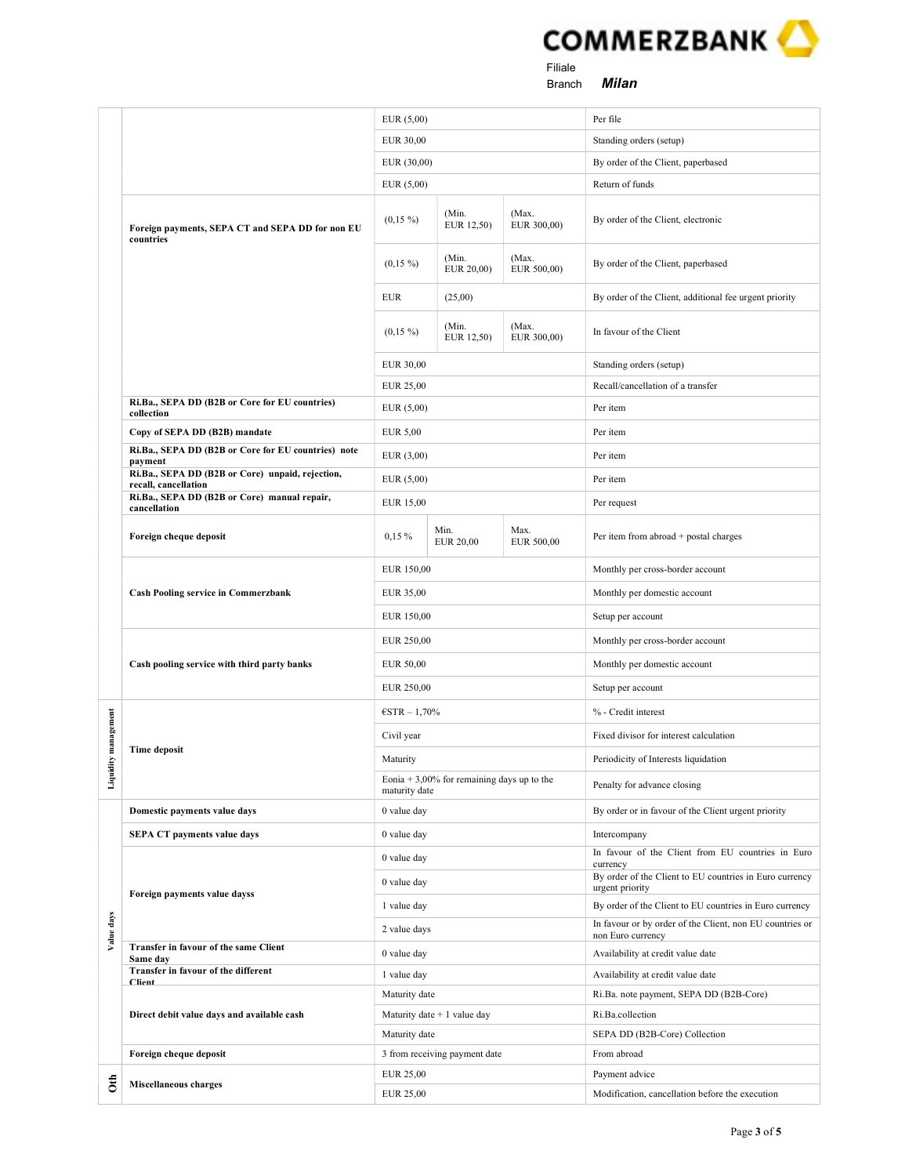

Branch **Milan** 

|            |                                                                          | EUR(5,00)<br>EUR 30,00<br>EUR (30,00)                         |                          |                      | Per file                                                                      |
|------------|--------------------------------------------------------------------------|---------------------------------------------------------------|--------------------------|----------------------|-------------------------------------------------------------------------------|
|            |                                                                          |                                                               |                          |                      | Standing orders (setup)                                                       |
|            |                                                                          |                                                               |                          |                      | By order of the Client, paperbased                                            |
|            |                                                                          | EUR(5,00)                                                     |                          |                      | Return of funds                                                               |
|            | Foreign payments, SEPA CT and SEPA DD for non EU<br>countries            | $(0,15\%)$                                                    | (Min.<br>EUR 12,50)      | (Max.<br>EUR 300,00) | By order of the Client, electronic                                            |
|            |                                                                          | $(0,15\%)$                                                    | (Min.<br>EUR 20,00)      | (Max.<br>EUR 500,00) | By order of the Client, paperbased                                            |
|            |                                                                          | <b>EUR</b><br>(25,00)                                         |                          |                      | By order of the Client, additional fee urgent priority                        |
|            |                                                                          | $(0,15\%)$                                                    | (Min.<br>EUR 12,50)      | (Max.<br>EUR 300,00) | In favour of the Client                                                       |
|            |                                                                          | EUR 30,00                                                     |                          |                      | Standing orders (setup)                                                       |
|            |                                                                          | EUR 25,00                                                     |                          |                      | Recall/cancellation of a transfer                                             |
|            | Ri.Ba., SEPA DD (B2B or Core for EU countries)<br>collection             | EUR $(5,00)$                                                  |                          |                      | Per item                                                                      |
|            | Copy of SEPA DD (B2B) mandate                                            | <b>EUR 5,00</b>                                               |                          |                      | Per item                                                                      |
|            | Ri.Ba., SEPA DD (B2B or Core for EU countries) note<br>payment           | EUR(3,00)                                                     |                          |                      | Per item                                                                      |
|            | Ri.Ba., SEPA DD (B2B or Core) unpaid, rejection,<br>recall, cancellation | EUR(5,00)                                                     |                          |                      | Per item                                                                      |
|            | Ri.Ba., SEPA DD (B2B or Core) manual repair,                             | EUR 15,00                                                     |                          |                      | Per request                                                                   |
|            | cancellation                                                             |                                                               |                          |                      |                                                                               |
|            | Foreign cheque deposit                                                   | $0,15\%$                                                      | Min.<br><b>EUR 20,00</b> | Max.<br>EUR 500,00   | Per item from abroad + postal charges                                         |
|            | <b>Cash Pooling service in Commerzbank</b>                               | EUR 150,00                                                    |                          |                      | Monthly per cross-border account                                              |
|            |                                                                          | EUR 35,00                                                     |                          |                      | Monthly per domestic account                                                  |
|            |                                                                          | EUR 150,00                                                    |                          |                      | Setup per account                                                             |
|            |                                                                          | EUR 250,00                                                    |                          |                      | Monthly per cross-border account                                              |
|            | Cash pooling service with third party banks                              |                                                               |                          |                      | Monthly per domestic account                                                  |
|            |                                                                          | EUR 250,00                                                    |                          |                      | Setup per account                                                             |
|            |                                                                          |                                                               | $\text{ESTR} - 1,70\%$   |                      | % - Credit interest                                                           |
| management | <b>Time deposit</b>                                                      | Civil year                                                    |                          |                      | Fixed divisor for interest calculation                                        |
| è          |                                                                          | Maturity                                                      |                          |                      | Periodicity of Interests liquidation                                          |
| Liquidi    |                                                                          | Eonia $+3,00\%$ for remaining days up to the<br>maturity date |                          |                      | Penalty for advance closing                                                   |
|            | Domestic payments value days                                             | 0 value day                                                   |                          |                      | By order or in favour of the Client urgent priority                           |
|            | <b>SEPA CT payments value days</b>                                       | 0 value day                                                   |                          |                      | Intercompany                                                                  |
|            |                                                                          | 0 value day                                                   |                          |                      | In favour of the Client from EU countries in Euro<br>currency                 |
|            | Foreign payments value dayss                                             | 0 value day                                                   |                          |                      | By order of the Client to EU countries in Euro currency<br>urgent priority    |
|            |                                                                          | 1 value day                                                   |                          |                      | By order of the Client to EU countries in Euro currency                       |
| Value days |                                                                          | 2 value days                                                  |                          |                      | In favour or by order of the Client, non EU countries or<br>non Euro currency |
|            | Transfer in favour of the same Client<br>Same day                        | 0 value day                                                   |                          |                      | Availability at credit value date                                             |
|            | Transfer in favour of the different<br><b>Client</b>                     | 1 value day                                                   |                          |                      | Availability at credit value date                                             |
|            |                                                                          | Maturity date                                                 |                          |                      | Ri.Ba. note payment, SEPA DD (B2B-Core)                                       |
|            | Direct debit value days and available cash                               | Maturity date $+1$ value day                                  |                          |                      | Ri.Ba.collection                                                              |
|            |                                                                          | Maturity date                                                 |                          |                      | SEPA DD (B2B-Core) Collection                                                 |
|            | Foreign cheque deposit                                                   | 3 from receiving payment date                                 |                          |                      | From abroad                                                                   |
| á          | <b>Miscellaneous charges</b>                                             | EUR 25,00                                                     |                          |                      | Payment advice                                                                |
|            |                                                                          | EUR 25,00                                                     |                          |                      | Modification, cancellation before the execution                               |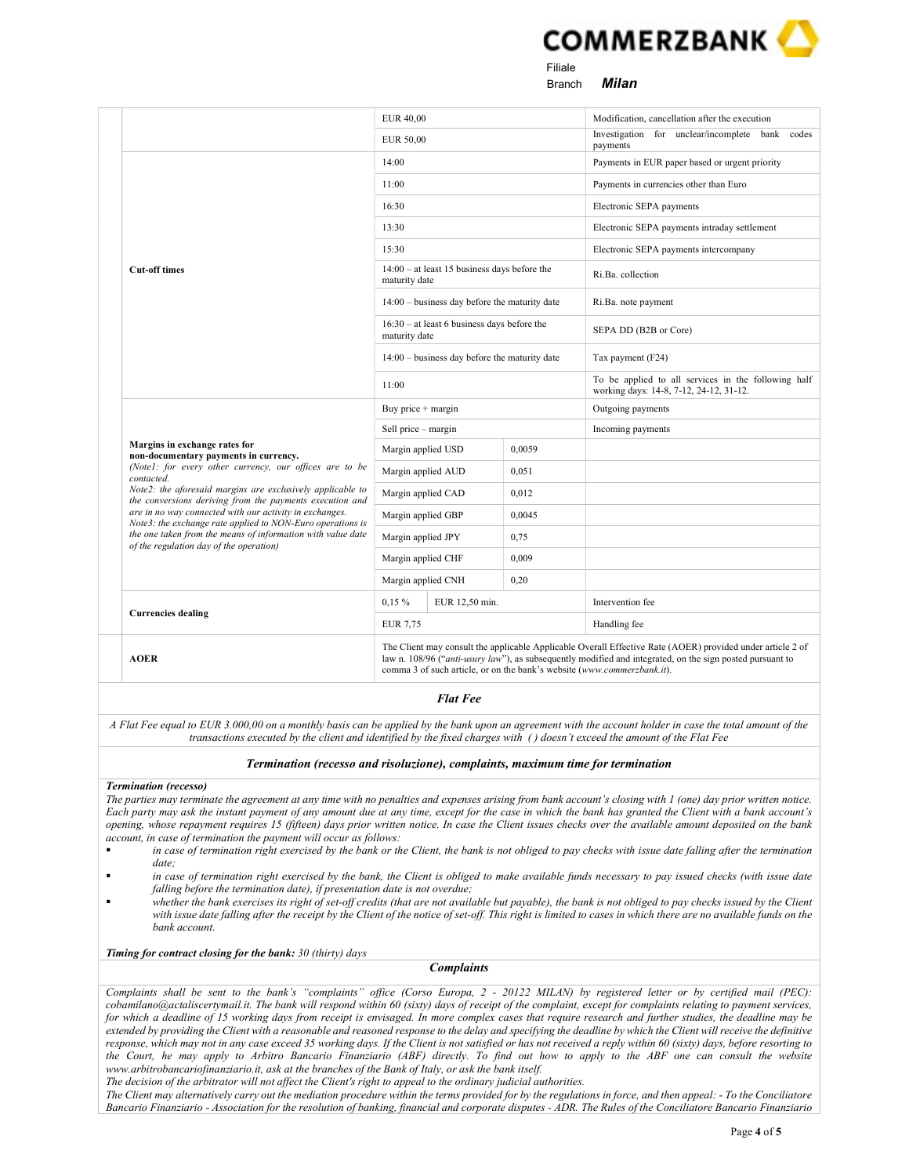

**Filiale Filiale** e and the state of the state of the Branch and Milan

|                                                                                                                        | <b>EUR 40,00</b>                                                                                                                                                                                                                                                                                   |  |        | Modification, cancellation after the execution                                                 |
|------------------------------------------------------------------------------------------------------------------------|----------------------------------------------------------------------------------------------------------------------------------------------------------------------------------------------------------------------------------------------------------------------------------------------------|--|--------|------------------------------------------------------------------------------------------------|
|                                                                                                                        | EUR 50,00                                                                                                                                                                                                                                                                                          |  |        | Investigation for unclear/incomplete bank codes<br>payments                                    |
|                                                                                                                        | 14:00                                                                                                                                                                                                                                                                                              |  |        | Payments in EUR paper based or urgent priority                                                 |
|                                                                                                                        | 11:00                                                                                                                                                                                                                                                                                              |  |        | Payments in currencies other than Euro                                                         |
|                                                                                                                        | 16:30                                                                                                                                                                                                                                                                                              |  |        | Electronic SEPA payments                                                                       |
|                                                                                                                        | 13:30                                                                                                                                                                                                                                                                                              |  |        | Electronic SEPA payments intraday settlement                                                   |
|                                                                                                                        | 15:30                                                                                                                                                                                                                                                                                              |  |        | Electronic SEPA payments intercompany                                                          |
| <b>Cut-off times</b>                                                                                                   | $14:00 - at least 15 business days before the$<br>maturity date                                                                                                                                                                                                                                    |  |        | Ri.Ba. collection                                                                              |
|                                                                                                                        | $14:00 - \text{business day before the maturity date}$                                                                                                                                                                                                                                             |  |        | Ri.Ba. note payment                                                                            |
|                                                                                                                        | $16:30 - at least 6 business days before the$<br>maturity date                                                                                                                                                                                                                                     |  |        | SEPA DD (B2B or Core)                                                                          |
|                                                                                                                        | $14:00 - \text{business day before the maturity date}$                                                                                                                                                                                                                                             |  |        | Tax payment (F24)                                                                              |
|                                                                                                                        | 11:00                                                                                                                                                                                                                                                                                              |  |        | To be applied to all services in the following half<br>working days: 14-8, 7-12, 24-12, 31-12. |
|                                                                                                                        | Buy price $+$ margin                                                                                                                                                                                                                                                                               |  |        | Outgoing payments                                                                              |
|                                                                                                                        | Sell price - margin                                                                                                                                                                                                                                                                                |  |        | Incoming payments                                                                              |
| Margins in exchange rates for<br>non-documentary payments in currency.                                                 | Margin applied USD                                                                                                                                                                                                                                                                                 |  | 0.0059 |                                                                                                |
| (Note1: for every other currency, our offices are to be<br>contacted.                                                  | Margin applied AUD                                                                                                                                                                                                                                                                                 |  | 0,051  |                                                                                                |
| Note2: the aforesaid margins are exclusively applicable to<br>the conversions deriving from the payments execution and | Margin applied CAD                                                                                                                                                                                                                                                                                 |  | 0,012  |                                                                                                |
| are in no way connected with our activity in exchanges.<br>Note3: the exchange rate applied to NON-Euro operations is  | Margin applied GBP                                                                                                                                                                                                                                                                                 |  | 0.0045 |                                                                                                |
| the one taken from the means of information with value date<br>of the regulation day of the operation)                 | Margin applied JPY                                                                                                                                                                                                                                                                                 |  | 0,75   |                                                                                                |
|                                                                                                                        | Margin applied CHF                                                                                                                                                                                                                                                                                 |  | 0.009  |                                                                                                |
|                                                                                                                        | Margin applied CNH                                                                                                                                                                                                                                                                                 |  | 0,20   |                                                                                                |
|                                                                                                                        | $0,15\%$<br>EUR 12,50 min.                                                                                                                                                                                                                                                                         |  |        | Intervention fee                                                                               |
| <b>Currencies dealing</b>                                                                                              | <b>EUR 7.75</b>                                                                                                                                                                                                                                                                                    |  |        | Handling fee                                                                                   |
| <b>AOER</b>                                                                                                            | The Client may consult the applicable Applicable Overall Effective Rate (AOER) provided under article 2 of<br>law n. 108/96 ("anti-usury law"), as subsequently modified and integrated, on the sign posted pursuant to<br>comma 3 of such article, or on the bank's website (www.commerzbank.it). |  |        |                                                                                                |

## Flat Fee

A Flat Fee equal to EUR 3.000,00 on a monthly basis can be applied by the bank upon an agreement with the account holder in case the total amount of the transactions executed by the client and identified by the fixed charges with ( ) doesn't exceed the amount of the Flat Fee

#### Termination (recesso and risoluzione), complaints, maximum time for termination

#### Termination (recesso)

The parties may terminate the agreement at any time with no penalties and expenses arising from bank account's closing with 1 (one) day prior written notice. Each party may ask the instant payment of any amount due at any time, except for the case in which the bank has granted the Client with a bank account's opening, whose repayment requires 15 (fifteen) days prior written notice. In case the Client issues checks over the available amount deposited on the bank account, in case of termination the payment will occur as follows:

- in case of termination right exercised by the bank or the Client, the bank is not obliged to pay checks with issue date falling after the termination date;
- in case of termination right exercised by the bank, the Client is obliged to make available funds necessary to pay issued checks (with issue date falling before the termination date), if presentation date is not overdue;
- whether the bank exercises its right of set-off credits (that are not available but payable), the bank is not obliged to pay checks issued by the Client with issue date falling after the receipt by the Client of the notice of set-off. This right is limited to cases in which there are no available funds on the bank account.

### Timing for contract closing for the bank: 30 (thirty) days

## **Complaints**

Complaints shall be sent to the bank's "complaints" office (Corso Europa, 2 - 20122 MILAN) by registered letter or by certified mail (PEC): cobamilano@actaliscertymail.it. The bank will respond within 60 (sixty) days of receipt of the complaint, except for complaints relating to payment services, for which a deadline of 15 working days from receipt is envisaged. In more complex cases that require research and further studies, the deadline may be extended by providing the Client with a reasonable and reasoned response to the delay and specifying the deadline by which the Client will receive the definitive response, which may not in any case exceed 35 working days. If the Client is not satisfied or has not received a reply within 60 (sixty) days, before resorting to the Court, he may apply to Arbitro Bancario Finanziario (ABF) directly. To find out how to apply to the ABF one can consult the website www.arbitrobancariofinanziario.it, ask at the branches of the Bank of Italy, or ask the bank itself.

The decision of the arbitrator will not affect the Client's right to appeal to the ordinary judicial authorities.

The Client may alternatively carry out the mediation procedure within the terms provided for by the regulations in force, and then appeal: - To the Conciliatore Bancario Finanziario - Association for the resolution of banking, financial and corporate disputes - ADR. The Rules of the Conciliatore Bancario Finanziario